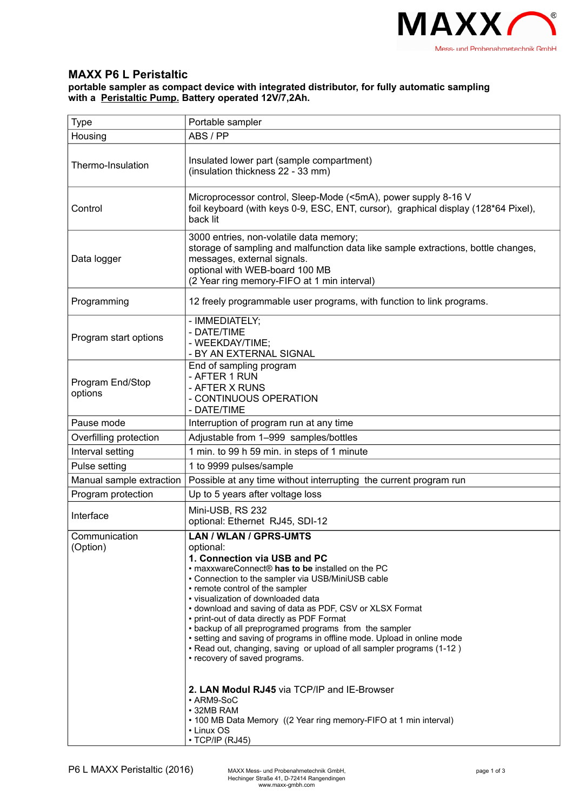

## **MAXX P6 L Peristaltic**

## **portable sampler as compact device with integrated distributor, for fully automatic sampling with a Peristaltic Pump. Battery operated 12V/7,2Ah.**

| <b>Type</b>                 | Portable sampler                                                                                                                                                                                                                                                                                                                                                                                                                                                                                                                                                                                                                                                                                                                                                                                                   |
|-----------------------------|--------------------------------------------------------------------------------------------------------------------------------------------------------------------------------------------------------------------------------------------------------------------------------------------------------------------------------------------------------------------------------------------------------------------------------------------------------------------------------------------------------------------------------------------------------------------------------------------------------------------------------------------------------------------------------------------------------------------------------------------------------------------------------------------------------------------|
| Housing                     | ABS / PP                                                                                                                                                                                                                                                                                                                                                                                                                                                                                                                                                                                                                                                                                                                                                                                                           |
| Thermo-Insulation           | Insulated lower part (sample compartment)<br>(insulation thickness 22 - 33 mm)                                                                                                                                                                                                                                                                                                                                                                                                                                                                                                                                                                                                                                                                                                                                     |
| Control                     | Microprocessor control, Sleep-Mode (<5mA), power supply 8-16 V<br>foil keyboard (with keys 0-9, ESC, ENT, cursor), graphical display (128*64 Pixel),<br>back lit                                                                                                                                                                                                                                                                                                                                                                                                                                                                                                                                                                                                                                                   |
| Data logger                 | 3000 entries, non-volatile data memory;<br>storage of sampling and malfunction data like sample extractions, bottle changes,<br>messages, external signals.<br>optional with WEB-board 100 MB<br>(2 Year ring memory-FIFO at 1 min interval)                                                                                                                                                                                                                                                                                                                                                                                                                                                                                                                                                                       |
| Programming                 | 12 freely programmable user programs, with function to link programs.                                                                                                                                                                                                                                                                                                                                                                                                                                                                                                                                                                                                                                                                                                                                              |
| Program start options       | - IMMEDIATELY;<br>- DATE/TIME<br>- WEEKDAY/TIME;<br>- BY AN EXTERNAL SIGNAL                                                                                                                                                                                                                                                                                                                                                                                                                                                                                                                                                                                                                                                                                                                                        |
| Program End/Stop<br>options | End of sampling program<br>- AFTER 1 RUN<br>- AFTER X RUNS<br>- CONTINUOUS OPERATION<br>- DATE/TIME                                                                                                                                                                                                                                                                                                                                                                                                                                                                                                                                                                                                                                                                                                                |
| Pause mode                  | Interruption of program run at any time                                                                                                                                                                                                                                                                                                                                                                                                                                                                                                                                                                                                                                                                                                                                                                            |
| Overfilling protection      | Adjustable from 1-999 samples/bottles                                                                                                                                                                                                                                                                                                                                                                                                                                                                                                                                                                                                                                                                                                                                                                              |
| Interval setting            | 1 min. to 99 h 59 min. in steps of 1 minute                                                                                                                                                                                                                                                                                                                                                                                                                                                                                                                                                                                                                                                                                                                                                                        |
| Pulse setting               | 1 to 9999 pulses/sample                                                                                                                                                                                                                                                                                                                                                                                                                                                                                                                                                                                                                                                                                                                                                                                            |
| Manual sample extraction    | Possible at any time without interrupting the current program run                                                                                                                                                                                                                                                                                                                                                                                                                                                                                                                                                                                                                                                                                                                                                  |
| Program protection          | Up to 5 years after voltage loss                                                                                                                                                                                                                                                                                                                                                                                                                                                                                                                                                                                                                                                                                                                                                                                   |
| Interface                   | Mini-USB, RS 232<br>optional: Ethernet RJ45, SDI-12                                                                                                                                                                                                                                                                                                                                                                                                                                                                                                                                                                                                                                                                                                                                                                |
| Communication<br>(Option)   | <b>LAN / WLAN / GPRS-UMTS</b><br>optional:<br>1. Connection via USB and PC<br>• maxxwareConnect® has to be installed on the PC<br>• Connection to the sampler via USB/MiniUSB cable<br>• remote control of the sampler<br>• visualization of downloaded data<br>• download and saving of data as PDF, CSV or XLSX Format<br>• print-out of data directly as PDF Format<br>• backup of all preprogramed programs from the sampler<br>• setting and saving of programs in offline mode. Upload in online mode<br>. Read out, changing, saving or upload of all sampler programs (1-12)<br>• recovery of saved programs.<br>2. LAN Modul RJ45 via TCP/IP and IE-Browser<br>• ARM9-SoC<br>$\cdot$ 32MB RAM<br>• 100 MB Data Memory ((2 Year ring memory-FIFO at 1 min interval)<br>• Linux OS<br>$\cdot$ TCP/IP (RJ45) |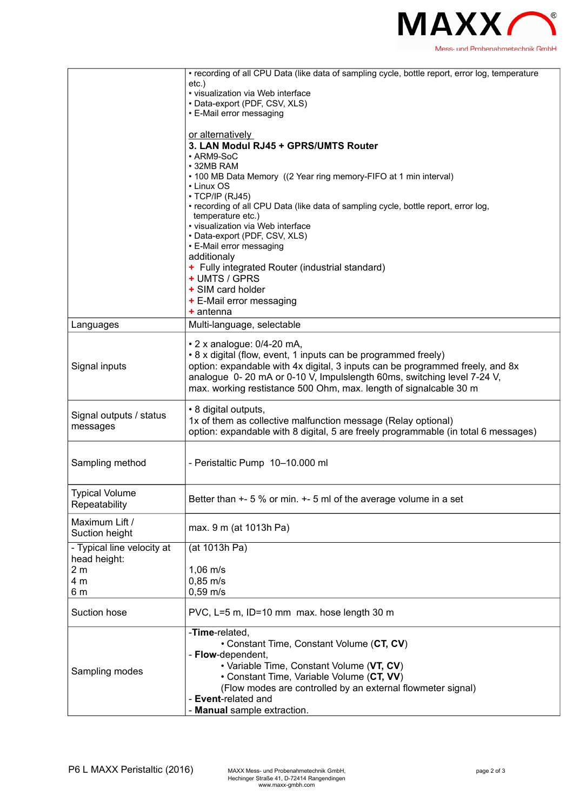

|                            | • recording of all CPU Data (like data of sampling cycle, bottle report, error log, temperature |
|----------------------------|-------------------------------------------------------------------------------------------------|
|                            | etc.)                                                                                           |
|                            | • visualization via Web interface                                                               |
|                            | • Data-export (PDF, CSV, XLS)                                                                   |
|                            | • E-Mail error messaging                                                                        |
|                            |                                                                                                 |
|                            | or alternatively                                                                                |
|                            | 3. LAN Modul RJ45 + GPRS/UMTS Router                                                            |
|                            | • ARM9-SoC                                                                                      |
|                            | • 32MB RAM                                                                                      |
|                            | • 100 MB Data Memory ((2 Year ring memory-FIFO at 1 min interval)                               |
|                            | • Linux OS                                                                                      |
|                            | $\cdot$ TCP/IP (RJ45)                                                                           |
|                            | • recording of all CPU Data (like data of sampling cycle, bottle report, error log,             |
|                            | temperature etc.)                                                                               |
|                            | • visualization via Web interface                                                               |
|                            | • Data-export (PDF, CSV, XLS)                                                                   |
|                            | • E-Mail error messaging                                                                        |
|                            | additionaly                                                                                     |
|                            | + Fully integrated Router (industrial standard)                                                 |
|                            | + UMTS / GPRS                                                                                   |
|                            | + SIM card holder                                                                               |
|                            | + E-Mail error messaging                                                                        |
|                            | $+$ antenna                                                                                     |
| Languages                  | Multi-language, selectable                                                                      |
|                            |                                                                                                 |
|                            | $\cdot$ 2 x analogue: 0/4-20 mA,                                                                |
|                            | • 8 x digital (flow, event, 1 inputs can be programmed freely)                                  |
| Signal inputs              | option: expandable with 4x digital, 3 inputs can be programmed freely, and 8x                   |
|                            | analogue 0-20 mA or 0-10 V, Impulslength 60ms, switching level 7-24 V,                          |
|                            | max. working restistance 500 Ohm, max. length of signalcable 30 m                               |
|                            |                                                                                                 |
| Signal outputs / status    | • 8 digital outputs,                                                                            |
| messages                   | 1x of them as collective malfunction message (Relay optional)                                   |
|                            | option: expandable with 8 digital, 5 are freely programmable (in total 6 messages)              |
|                            |                                                                                                 |
| Sampling method            | - Peristaltic Pump 10-10.000 ml                                                                 |
|                            |                                                                                                 |
|                            |                                                                                                 |
| <b>Typical Volume</b>      |                                                                                                 |
| Repeatability              | Better than +- 5 % or min. +- 5 ml of the average volume in a set                               |
|                            |                                                                                                 |
| Maximum Lift /             | max. 9 m (at 1013h Pa)                                                                          |
| Suction height             |                                                                                                 |
| - Typical line velocity at | (at 1013h Pa)                                                                                   |
| head height:               |                                                                                                 |
| 2 <sub>m</sub>             | $1,06 \; \text{m/s}$                                                                            |
| 4 m                        | $0,85 \; \text{m/s}$                                                                            |
| 6 m                        | $0,59 \; \text{m/s}$                                                                            |
|                            |                                                                                                 |
| Suction hose               | PVC, L=5 m, ID=10 mm max. hose length 30 m                                                      |
|                            | -Time-related,                                                                                  |
| Sampling modes             | • Constant Time, Constant Volume (CT, CV)                                                       |
|                            | - Flow-dependent,                                                                               |
|                            | • Variable Time, Constant Volume (VT, CV)                                                       |
|                            |                                                                                                 |
|                            | • Constant Time, Variable Volume (CT, VV)                                                       |
|                            | (Flow modes are controlled by an external flowmeter signal)                                     |
|                            | - Event-related and                                                                             |
|                            | - Manual sample extraction.                                                                     |